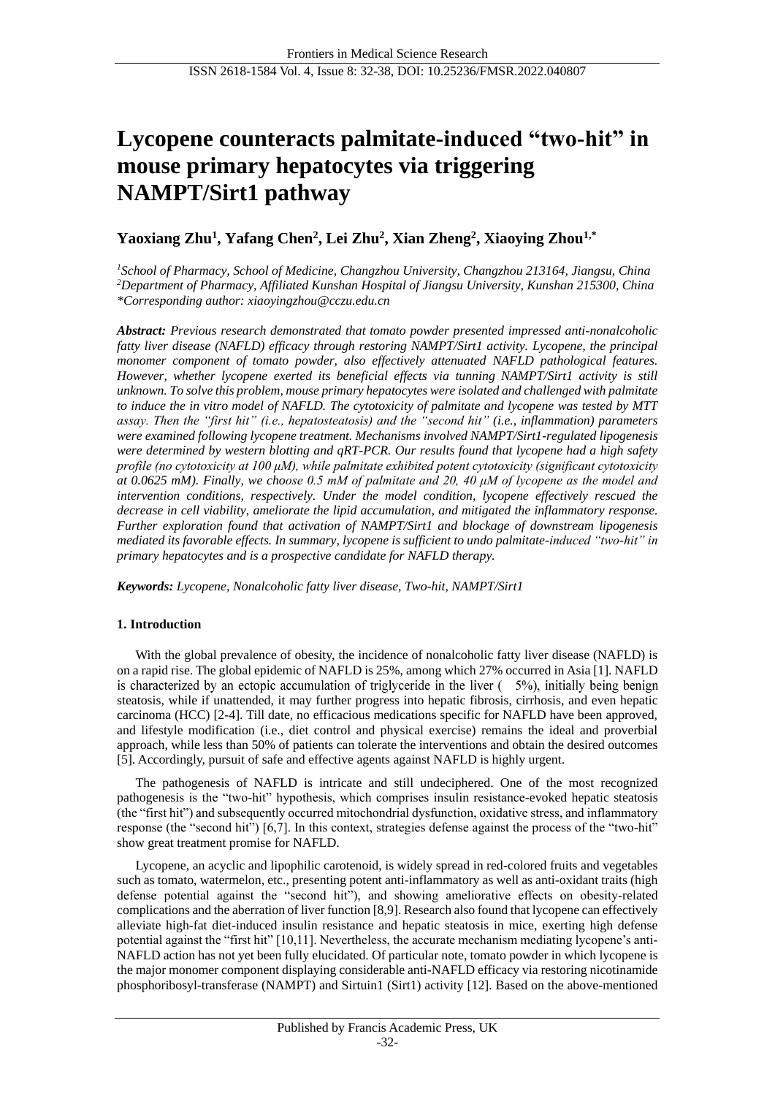# **Lycopene counteracts palmitate-induced "two-hit" in mouse primary hepatocytes via triggering NAMPT/Sirt1 pathway**

## **Yaoxiang Zhu<sup>1</sup> , Yafang Chen<sup>2</sup> , Lei Zhu<sup>2</sup> , Xian Zheng<sup>2</sup> , Xiaoying Zhou1,\***

*<sup>1</sup>School of Pharmacy, School of Medicine, Changzhou University, Changzhou 213164, Jiangsu, China <sup>2</sup>Department of Pharmacy, Affiliated Kunshan Hospital of Jiangsu University, Kunshan 215300, China \*Corresponding author: xiaoyingzhou@cczu.edu.cn*

*Abstract: Previous research demonstrated that tomato powder presented impressed anti-nonalcoholic fatty liver disease (NAFLD) efficacy through restoring NAMPT/Sirt1 activity. Lycopene, the principal monomer component of tomato powder, also effectively attenuated NAFLD pathological features. However, whether lycopene exerted its beneficial effects via tunning NAMPT/Sirt1 activity is still unknown. To solve this problem, mouse primary hepatocytes were isolated and challenged with palmitate to induce the in vitro model of NAFLD. The cytotoxicity of palmitate and lycopene was tested by MTT assay. Then the "first hit" (i.e., hepatosteatosis) and the "second hit" (i.e., inflammation) parameters were examined following lycopene treatment. Mechanisms involved NAMPT/Sirt1-regulated lipogenesis were determined by western blotting and qRT-PCR. Our results found that lycopene had a high safety profile (no cytotoxicity at 100 μM), while palmitate exhibited potent cytotoxicity (significant cytotoxicity at 0.0625 mM). Finally, we choose 0.5 mM of palmitate and 20, 40 μM of lycopene as the model and intervention conditions, respectively. Under the model condition, lycopene effectively rescued the decrease in cell viability, ameliorate the lipid accumulation, and mitigated the inflammatory response. Further exploration found that activation of NAMPT/Sirt1 and blockage of downstream lipogenesis mediated its favorable effects. In summary, lycopene is sufficient to undo palmitate-induced "two-hit" in primary hepatocytes and is a prospective candidate for NAFLD therapy.*

*Keywords: Lycopene, Nonalcoholic fatty liver disease, Two-hit, NAMPT/Sirt1*

## **1. Introduction**

With the global prevalence of obesity, the incidence of nonalcoholic fatty liver disease (NAFLD) is on a rapid rise. The global epidemic of NAFLD is 25%, among which 27% occurred in Asia [1]. NAFLD is characterized by an ectopic accumulation of triglyceride in the liver  $(-5\%)$ , initially being benign steatosis, while if unattended, it may further progress into hepatic fibrosis, cirrhosis, and even hepatic carcinoma (HCC) [2-4]. Till date, no efficacious medications specific for NAFLD have been approved, and lifestyle modification (i.e., diet control and physical exercise) remains the ideal and proverbial approach, while less than 50% of patients can tolerate the interventions and obtain the desired outcomes [5]. Accordingly, pursuit of safe and effective agents against NAFLD is highly urgent.

The pathogenesis of NAFLD is intricate and still undeciphered. One of the most recognized pathogenesis is the "two-hit" hypothesis, which comprises insulin resistance-evoked hepatic steatosis (the "first hit") and subsequently occurred mitochondrial dysfunction, oxidative stress, and inflammatory response (the "second hit") [6,7]. In this context, strategies defense against the process of the "two-hit" show great treatment promise for NAFLD.

Lycopene, an acyclic and lipophilic carotenoid, is widely spread in red-colored fruits and vegetables such as tomato, watermelon, etc., presenting potent anti-inflammatory as well as anti-oxidant traits (high defense potential against the "second hit"), and showing ameliorative effects on obesity-related complications and the aberration of liver function [8,9]. Research also found that lycopene can effectively alleviate high-fat diet-induced insulin resistance and hepatic steatosis in mice, exerting high defense potential against the "first hit" [10,11]. Nevertheless, the accurate mechanism mediating lycopene's anti-NAFLD action has not yet been fully elucidated. Of particular note, tomato powder in which lycopene is the major monomer component displaying considerable anti-NAFLD efficacy via restoring nicotinamide phosphoribosyl-transferase (NAMPT) and Sirtuin1 (Sirt1) activity [12]. Based on the above-mentioned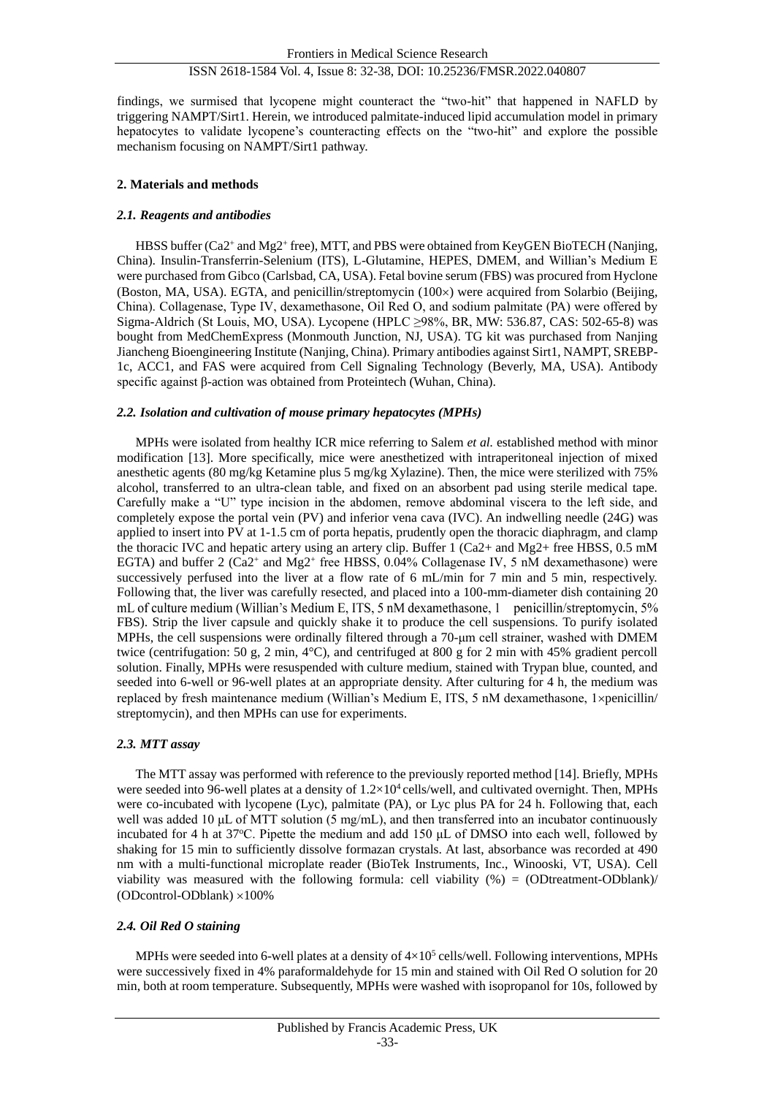findings, we surmised that lycopene might counteract the "two-hit" that happened in NAFLD by triggering NAMPT/Sirt1. Herein, we introduced palmitate-induced lipid accumulation model in primary hepatocytes to validate lycopene's counteracting effects on the "two-hit" and explore the possible mechanism focusing on NAMPT/Sirt1 pathway.

#### **2. Materials and methods**

## *2.1. Reagents and antibodies*

HBSS buffer (Ca2<sup>+</sup> and Mg2<sup>+</sup> free), MTT, and PBS were obtained from KeyGEN BioTECH (Nanjing, China). Insulin-Transferrin-Selenium (ITS), L-Glutamine, HEPES, DMEM, and Willian's Medium E were purchased from Gibco (Carlsbad, CA, USA). Fetal bovine serum (FBS) was procured from Hyclone (Boston, MA, USA). EGTA, and penicillin/streptomycin (100x) were acquired from Solarbio (Beijing, China). Collagenase, Type Ⅳ, dexamethasone, Oil Red O, and sodium palmitate (PA) were offered by Sigma-Aldrich (St Louis, MO, USA). Lycopene (HPLC ≥98%, BR, MW: 536.87, CAS: 502-65-8) was bought from MedChemExpress (Monmouth Junction, NJ, USA). TG kit was purchased from Nanjing Jiancheng Bioengineering Institute (Nanjing, China). Primary antibodies against Sirt1, NAMPT, SREBP-1c, ACC1, and FAS were acquired from Cell Signaling Technology (Beverly, MA, USA). Antibody specific against β-action was obtained from Proteintech (Wuhan, China).

#### *2.2. Isolation and cultivation of mouse primary hepatocytes (MPHs)*

MPHs were isolated from healthy ICR mice referring to Salem *et al.* established method with minor modification [13]. More specifically, mice were anesthetized with intraperitoneal injection of mixed anesthetic agents (80 mg/kg Ketamine plus 5 mg/kg Xylazine). Then, the mice were sterilized with 75% alcohol, transferred to an ultra-clean table, and fixed on an absorbent pad using sterile medical tape. Carefully make a "U" type incision in the abdomen, remove abdominal viscera to the left side, and completely expose the portal vein (PV) and inferior vena cava (IVC). An indwelling needle (24G) was applied to insert into  $\overline{PV}$  at 1-1.5 cm of porta hepatis, prudently open the thoracic diaphragm, and clamp the thoracic IVC and hepatic artery using an artery clip. Buffer 1 (Ca2+ and Mg2+ free HBSS,  $0.5$  mM EGTA) and buffer 2 (Ca2<sup>+</sup> and Mg2<sup>+</sup> free HBSS, 0.04% Collagenase IV, 5 nM dexamethasone) were successively perfused into the liver at a flow rate of 6 mL/min for 7 min and 5 min, respectively. Following that, the liver was carefully resected, and placed into a 100-mm-diameter dish containing 20 mL of culture medium (Willian's Medium E, ITS, 5 nM dexamethasone, 1 penicillin/streptomycin, 5% FBS). Strip the liver capsule and quickly shake it to produce the cell suspensions. To purify isolated MPHs, the cell suspensions were ordinally filtered through a 70-μm cell strainer, washed with DMEM twice (centrifugation: 50 g, 2 min, 4°C), and centrifuged at 800 g for 2 min with 45% gradient percoll solution. Finally, MPHs were resuspended with culture medium, stained with Trypan blue, counted, and seeded into 6-well or 96-well plates at an appropriate density. After culturing for 4 h, the medium was replaced by fresh maintenance medium (Willian's Medium E, ITS, 5 nM dexamethasone,  $1 \times \text{penicillin}$ ) streptomycin), and then MPHs can use for experiments.

## *2.3. MTT assay*

The MTT assay was performed with reference to the previously reported method [14]. Briefly, MPHs were seeded into 96-well plates at a density of  $1.2 \times 10^4$  cells/well, and cultivated overnight. Then, MPHs were co-incubated with lycopene (Lyc), palmitate (PA), or Lyc plus PA for 24 h. Following that, each well was added 10 μL of MTT solution (5 mg/mL), and then transferred into an incubator continuously incubated for 4 h at 37°C. Pipette the medium and add 150 μL of DMSO into each well, followed by shaking for 15 min to sufficiently dissolve formazan crystals. At last, absorbance was recorded at 490 nm with a multi-functional microplate reader (BioTek Instruments, Inc., Winooski, VT, USA). Cell viability was measured with the following formula: cell viability  $(\%) = (ODtreatment-ODblank)/$ (ODcontrol-ODblank)  $\times 100\%$ 

#### *2.4. Oil Red O staining*

MPHs were seeded into 6-well plates at a density of  $4\times10^5$  cells/well. Following interventions, MPHs were successively fixed in 4% paraformaldehyde for 15 min and stained with Oil Red O solution for 20 min, both at room temperature. Subsequently, MPHs were washed with isopropanol for 10s, followed by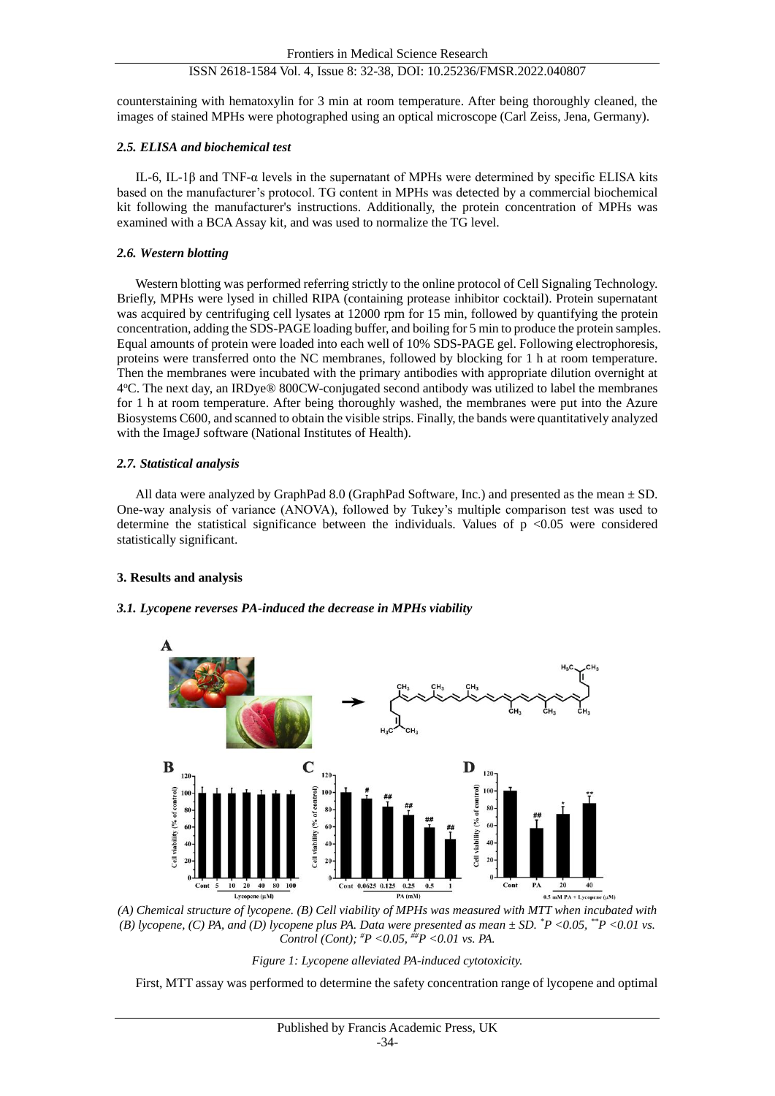counterstaining with hematoxylin for 3 min at room temperature. After being thoroughly cleaned, the images of stained MPHs were photographed using an optical microscope (Carl Zeiss, Jena, Germany).

#### *2.5. ELISA and biochemical test*

IL-6, IL-1β and TNF-α levels in the supernatant of MPHs were determined by specific ELISA kits based on the manufacturer's protocol. TG content in MPHs was detected by a commercial biochemical kit following the manufacturer's instructions. Additionally, the protein concentration of MPHs was examined with a BCA Assay kit, and was used to normalize the TG level.

#### *2.6. Western blotting*

Western blotting was performed referring strictly to the online protocol of Cell Signaling Technology. Briefly, MPHs were lysed in chilled RIPA (containing protease inhibitor cocktail). Protein supernatant was acquired by centrifuging cell lysates at 12000 rpm for 15 min, followed by quantifying the protein concentration, adding the SDS-PAGE loading buffer, and boiling for 5 min to produce the protein samples. Equal amounts of protein were loaded into each well of 10% SDS-PAGE gel. Following electrophoresis, proteins were transferred onto the NC membranes, followed by blocking for 1 h at room temperature. Then the membranes were incubated with the primary antibodies with appropriate dilution overnight at 4°C. The next day, an IRDye® 800CW-conjugated second antibody was utilized to label the membranes for 1 h at room temperature. After being thoroughly washed, the membranes were put into the Azure Biosystems C600, and scanned to obtain the visible strips. Finally, the bands were quantitatively analyzed with the ImageJ software (National Institutes of Health).

## *2.7. Statistical analysis*

All data were analyzed by GraphPad 8.0 (GraphPad Software, Inc.) and presented as the mean ± SD. One-way analysis of variance (ANOVA), followed by Tukey's multiple comparison test was used to determine the statistical significance between the individuals. Values of  $p \le 0.05$  were considered statistically significant.

#### **3. Results and analysis**

## *3.1. Lycopene reverses PA-induced the decrease in MPHs viability*



*(A) Chemical structure of lycopene. (B) Cell viability of MPHs was measured with MTT when incubated with (B) lycopene, (C) PA, and (D) lycopene plus PA. Data were presented as mean ± SD. \*P <0.05, \*\*P <0.01 vs. Control (Cont); #P <0.05, ##P <0.01 vs. PA.*



First, MTT assay was performed to determine the safety concentration range of lycopene and optimal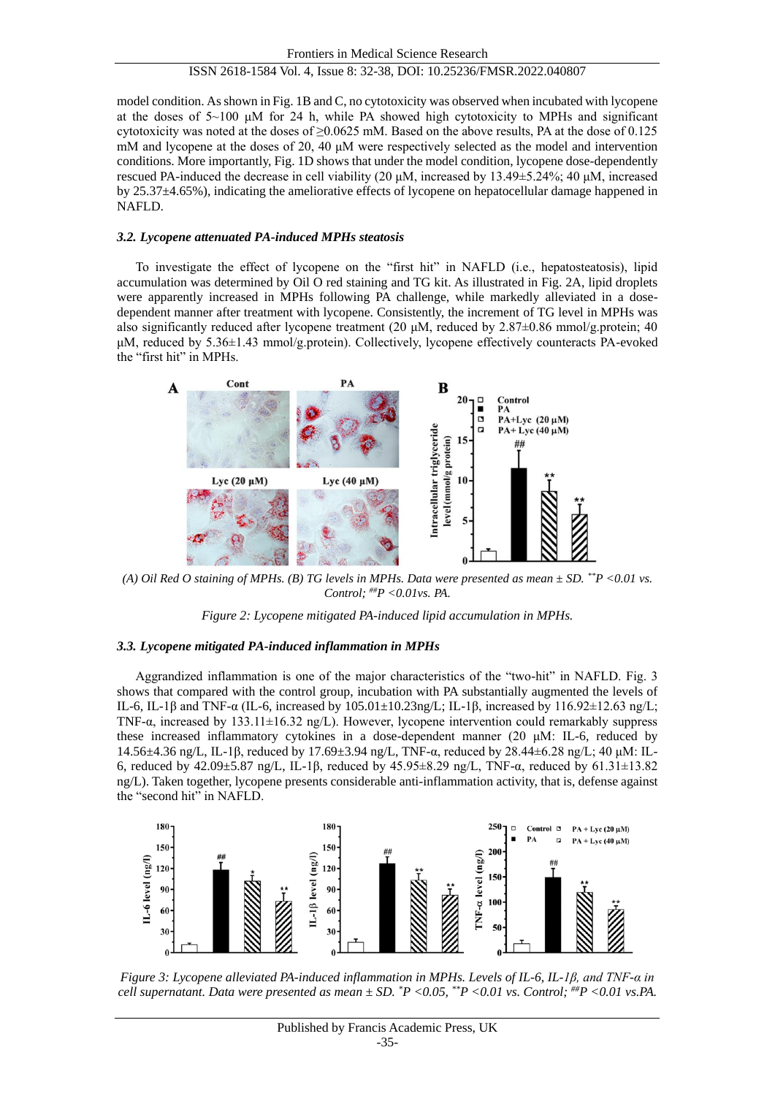model condition. As shown in Fig. 1B and C, no cytotoxicity was observed when incubated with lycopene at the doses of  $5\sim100$  μM for 24 h, while PA showed high cytotoxicity to MPHs and significant cytotoxicity was noted at the doses of ≥0.0625 mM. Based on the above results, PA at the dose of 0.125 mM and lycopene at the doses of 20, 40 μM were respectively selected as the model and intervention conditions. More importantly, Fig. 1D shows that under the model condition, lycopene dose-dependently rescued PA-induced the decrease in cell viability (20 μM, increased by 13.49 $\pm$ 5.24%; 40 μM, increased by 25.37±4.65%), indicating the ameliorative effects of lycopene on hepatocellular damage happened in NAFLD.

#### *3.2. Lycopene attenuated PA-induced MPHs steatosis*

To investigate the effect of lycopene on the "first hit" in NAFLD (i.e., hepatosteatosis), lipid accumulation was determined by Oil O red staining and TG kit. As illustrated in Fig. 2A, lipid droplets were apparently increased in MPHs following PA challenge, while markedly alleviated in a dosedependent manner after treatment with lycopene. Consistently, the increment of TG level in MPHs was also significantly reduced after lycopene treatment (20 μM, reduced by 2.87±0.86 mmol/g.protein; 40 μM, reduced by 5.36±1.43 mmol/g.protein). Collectively, lycopene effectively counteracts PA-evoked the "first hit" in MPHs.



*(A) Oil Red O staining of MPHs. (B) TG levels in MPHs. Data were presented as mean ± SD. \*\*P <0.01 vs. Control; ##P <0.01vs. PA.*



#### *3.3. Lycopene mitigated PA-induced inflammation in MPHs*

Aggrandized inflammation is one of the major characteristics of the "two-hit" in NAFLD. Fig. 3 shows that compared with the control group, incubation with PA substantially augmented the levels of IL-6, IL-1β and TNF-α (IL-6, increased by  $105.01 \pm 10.23$ ng/L; IL-1β, increased by 116.92 $\pm$ 12.63 ng/L; TNF-α, increased by 133.11±16.32 ng/L). However, lycopene intervention could remarkably suppress these increased inflammatory cytokines in a dose-dependent manner (20 μM: IL-6, reduced by 14.56±4.36 ng/L, IL-1β, reduced by 17.69±3.94 ng/L, TNF-α, reduced by 28.44±6.28 ng/L; 40 μM: IL-6, reduced by 42.09±5.87 ng/L, IL-1β, reduced by 45.95±8.29 ng/L, TNF-α, reduced by 61.31±13.82 ng/L). Taken together, lycopene presents considerable anti-inflammation activity, that is, defense against the "second hit" in NAFLD.



*Figure 3: Lycopene alleviated PA-induced inflammation in MPHs. Levels of IL-6, IL-1β, and TNF-α in cell supernatant. Data were presented as mean ± SD. \*P <0.05, \*\*P <0.01 vs. Control; ##P <0.01 vs.PA.*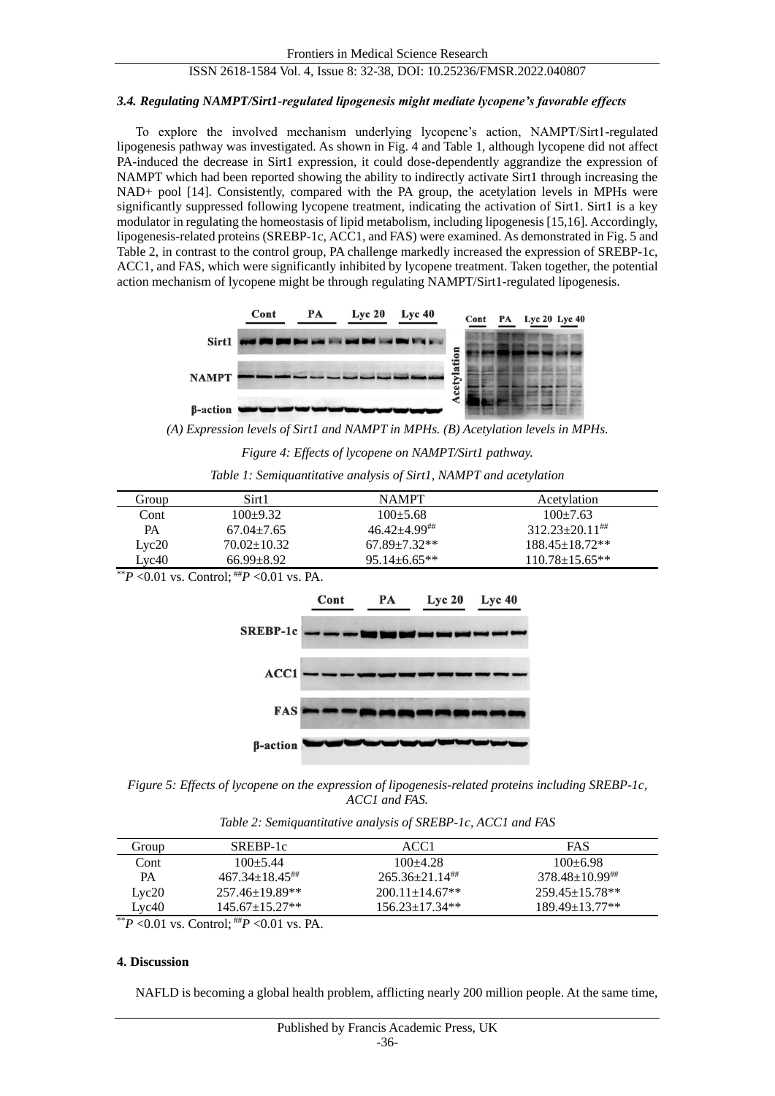#### *3.4. Regulating NAMPT/Sirt1-regulated lipogenesis might mediate lycopene's favorable effects*

To explore the involved mechanism underlying lycopene's action, NAMPT/Sirt1-regulated lipogenesis pathway was investigated. As shown in Fig. 4 and Table 1, although lycopene did not affect PA-induced the decrease in Sirt1 expression, it could dose-dependently aggrandize the expression of NAMPT which had been reported showing the ability to indirectly activate Sirt1 through increasing the NAD+ pool [14]. Consistently, compared with the PA group, the acetylation levels in MPHs were significantly suppressed following lycopene treatment, indicating the activation of Sirt1. Sirt1 is a key modulator in regulating the homeostasis of lipid metabolism, including lipogenesis [15,16]. Accordingly, lipogenesis-related proteins (SREBP-1c, ACC1, and FAS) were examined. As demonstrated in Fig. 5 and Table 2, in contrast to the control group, PA challenge markedly increased the expression of SREBP-1c, ACC1, and FAS, which were significantly inhibited by lycopene treatment. Taken together, the potential action mechanism of lycopene might be through regulating NAMPT/Sirt1-regulated lipogenesis.



*(A) Expression levels of Sirt1 and NAMPT in MPHs. (B) Acetylation levels in MPHs.*

*Figure 4: Effects of lycopene on NAMPT/Sirt1 pathway.*

*Table 1: Semiquantitative analysis of Sirt1, NAMPT and acetylation*

| Group | Sirt1             | <b>NAMPT</b>      | Acetylation          |
|-------|-------------------|-------------------|----------------------|
| Cont  | $100 + 9.32$      | $100 + 5.68$      | $100 + 7.63$         |
| PА    | $67.04 + 7.65$    | $46.42 + 4.99$ ## | $312.23 + 20.11$ ##  |
| Lyc20 | $70.02 \pm 10.32$ | $67.89 + 7.32**$  | $188.45 \pm 18.72**$ |
| Lyc40 | $66.99 + 8.92$    | $95.14 + 6.65**$  | $110.78 + 15.65$ **  |

 $*$ <sup>\*</sup>*P* < 0.01 vs. Control;  $*$ *#P* < 0.01 vs. PA.



*Figure 5: Effects of lycopene on the expression of lipogenesis-related proteins including SREBP-1c, ACC1 and FAS.*

*Table 2: Semiquantitative analysis of SREBP-1c, ACC1 and FAS*

| Group        | SREBP-1c                                 | ACC1                           | FAS                 |
|--------------|------------------------------------------|--------------------------------|---------------------|
| Cont         | $100 + 5.44$                             | $100 + 4.28$                   | $100 + 6.98$        |
| PА           | $467.34 \pm 18.45^{\text{***}}$          | $265.36 + 21.14$ <sup>##</sup> | $378.48 + 10.99$    |
| Lyc20        | $257.46 \pm 19.89$ **                    | $200.11 + 14.67$ <sup>**</sup> | $259.45 + 15.78$ ** |
| Lyc40        | $145.67 + 15.27**$                       | $156.23 + 17.34**$             | $189.49 + 13.77$ ** |
| $*$ n $0.01$ | $C_{1}$ , $1 \#T_{2}$ , $0.01$ , $D_{1}$ |                                |                     |

\*\**P* <0.01 vs. Control; ##*P* <0.01 vs. PA.

#### **4. Discussion**

NAFLD is becoming a global health problem, afflicting nearly 200 million people. At the same time,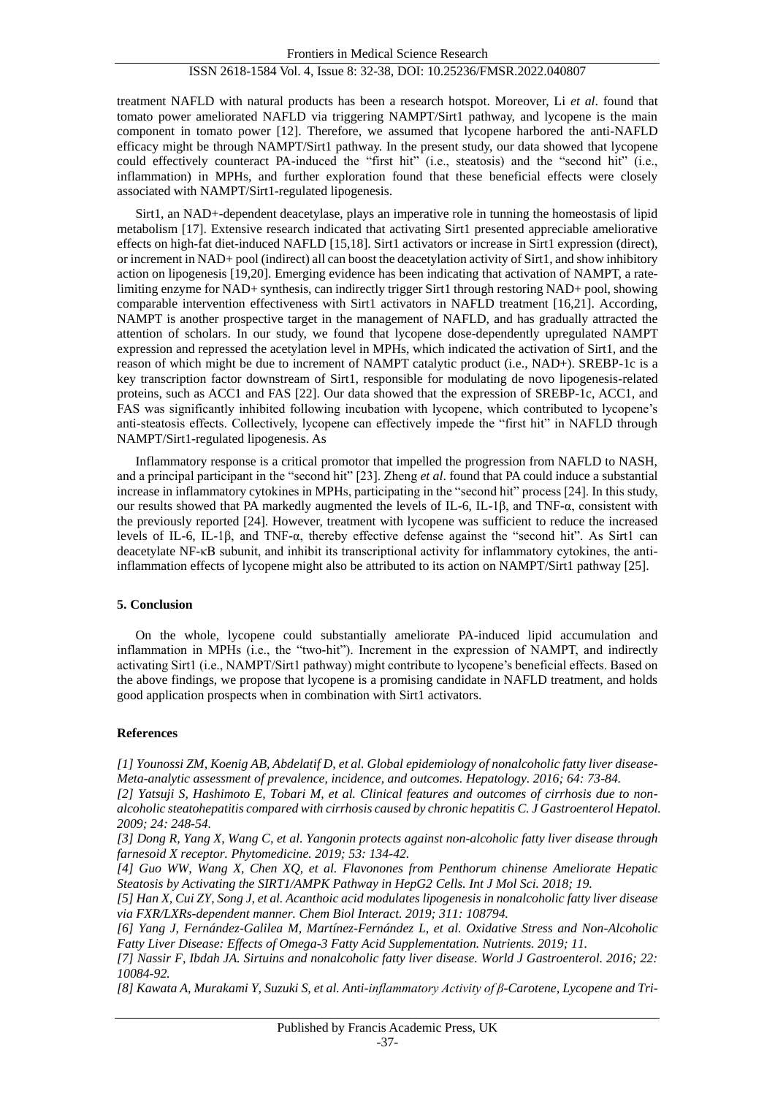treatment NAFLD with natural products has been a research hotspot. Moreover, Li *et al*. found that tomato power ameliorated NAFLD via triggering NAMPT/Sirt1 pathway, and lycopene is the main component in tomato power [12]. Therefore, we assumed that lycopene harbored the anti-NAFLD efficacy might be through NAMPT/Sirt1 pathway. In the present study, our data showed that lycopene could effectively counteract PA-induced the "first hit" (i.e., steatosis) and the "second hit" (i.e., inflammation) in MPHs, and further exploration found that these beneficial effects were closely associated with NAMPT/Sirt1-regulated lipogenesis.

Sirt1, an NAD+-dependent deacetylase, plays an imperative role in tunning the homeostasis of lipid metabolism [17]. Extensive research indicated that activating Sirt1 presented appreciable ameliorative effects on high-fat diet-induced NAFLD [15,18]. Sirt1 activators or increase in Sirt1 expression (direct), or increment in NAD+ pool (indirect) all can boost the deacetylation activity of Sirt1, and show inhibitory action on lipogenesis [19,20]. Emerging evidence has been indicating that activation of NAMPT, a ratelimiting enzyme for NAD+ synthesis, can indirectly trigger Sirt1 through restoring NAD+ pool, showing comparable intervention effectiveness with Sirt1 activators in NAFLD treatment [16,21]. According, NAMPT is another prospective target in the management of NAFLD, and has gradually attracted the attention of scholars. In our study, we found that lycopene dose-dependently upregulated NAMPT expression and repressed the acetylation level in MPHs, which indicated the activation of Sirt1, and the reason of which might be due to increment of NAMPT catalytic product (i.e., NAD+). SREBP-1c is a key transcription factor downstream of Sirt1, responsible for modulating de novo lipogenesis-related proteins, such as ACC1 and FAS [22]. Our data showed that the expression of SREBP-1c, ACC1, and FAS was significantly inhibited following incubation with lycopene, which contributed to lycopene's anti-steatosis effects. Collectively, lycopene can effectively impede the "first hit" in NAFLD through NAMPT/Sirt1-regulated lipogenesis. As

Inflammatory response is a critical promotor that impelled the progression from NAFLD to NASH, and a principal participant in the "second hit" [23]. Zheng *et al*. found that PA could induce a substantial increase in inflammatory cytokines in MPHs, participating in the "second hit" process [24]. In this study, our results showed that PA markedly augmented the levels of IL-6, IL-1β, and TNF- $\alpha$ , consistent with the previously reported [24]. However, treatment with lycopene was sufficient to reduce the increased levels of IL-6, IL-1β, and TNF-α, thereby effective defense against the "second hit". As Sirt1 can deacetylate NF-κB subunit, and inhibit its transcriptional activity for inflammatory cytokines, the antiinflammation effects of lycopene might also be attributed to its action on NAMPT/Sirt1 pathway [25].

## **5. Conclusion**

On the whole, lycopene could substantially ameliorate PA-induced lipid accumulation and inflammation in MPHs (i.e., the "two-hit"). Increment in the expression of NAMPT, and indirectly activating Sirt1 (i.e., NAMPT/Sirt1 pathway) might contribute to lycopene's beneficial effects. Based on the above findings, we propose that lycopene is a promising candidate in NAFLD treatment, and holds good application prospects when in combination with Sirt1 activators.

#### **References**

*[1] Younossi ZM, Koenig AB, Abdelatif D, et al. Global epidemiology of nonalcoholic fatty liver disease-Meta-analytic assessment of prevalence, incidence, and outcomes. Hepatology. 2016; 64: 73-84.*

*[2] Yatsuji S, Hashimoto E, Tobari M, et al. Clinical features and outcomes of cirrhosis due to nonalcoholic steatohepatitis compared with cirrhosis caused by chronic hepatitis C. J Gastroenterol Hepatol. 2009; 24: 248-54.*

*[3] Dong R, Yang X, Wang C, et al. Yangonin protects against non-alcoholic fatty liver disease through farnesoid X receptor. Phytomedicine. 2019; 53: 134-42.*

*[4] Guo WW, Wang X, Chen XQ, et al. Flavonones from Penthorum chinense Ameliorate Hepatic Steatosis by Activating the SIRT1/AMPK Pathway in HepG2 Cells. Int J Mol Sci. 2018; 19.*

*[5] Han X, Cui ZY, Song J, et al. Acanthoic acid modulates lipogenesis in nonalcoholic fatty liver disease via FXR/LXRs-dependent manner. Chem Biol Interact. 2019; 311: 108794.*

*[8] Kawata A, Murakami Y, Suzuki S, et al. Anti-inflammatory Activity of β-Carotene, Lycopene and Tri-*

*<sup>[6]</sup> Yang J, Fernández-Galilea M, Martínez-Fernández L, et al. Oxidative Stress and Non-Alcoholic Fatty Liver Disease: Effects of Omega-3 Fatty Acid Supplementation. Nutrients. 2019; 11.*

*<sup>[7]</sup> Nassir F, Ibdah JA. Sirtuins and nonalcoholic fatty liver disease. World J Gastroenterol. 2016; 22: 10084-92.*